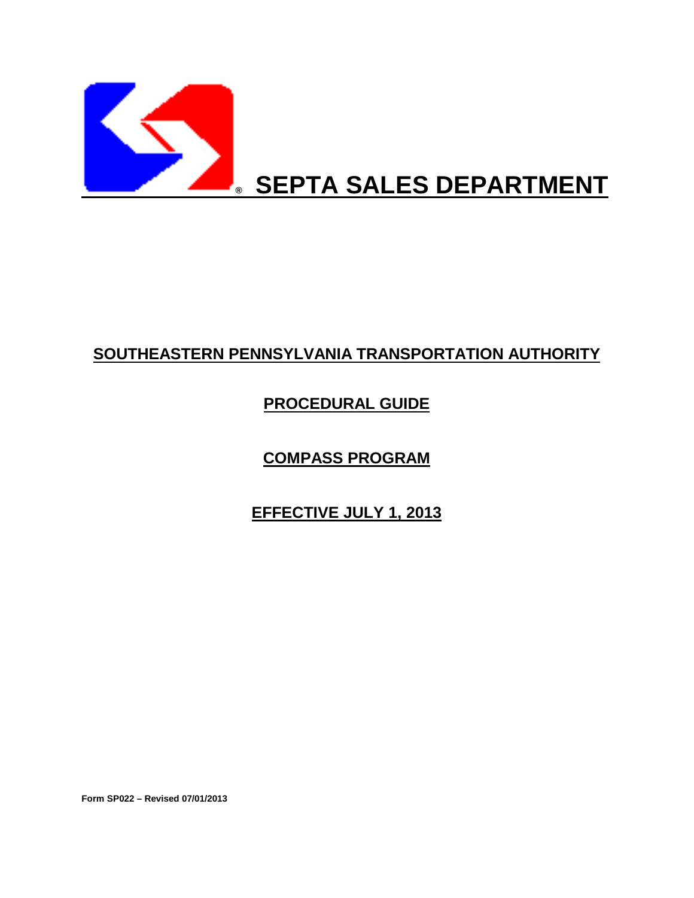

# **SOUTHEASTERN PENNSYLVANIA TRANSPORTATION AUTHORITY**

# **PROCEDURAL GUIDE**

**COMPASS PROGRAM**

**EFFECTIVE JULY 1, 2013**

**Form SP022 – Revised 07/01/2013**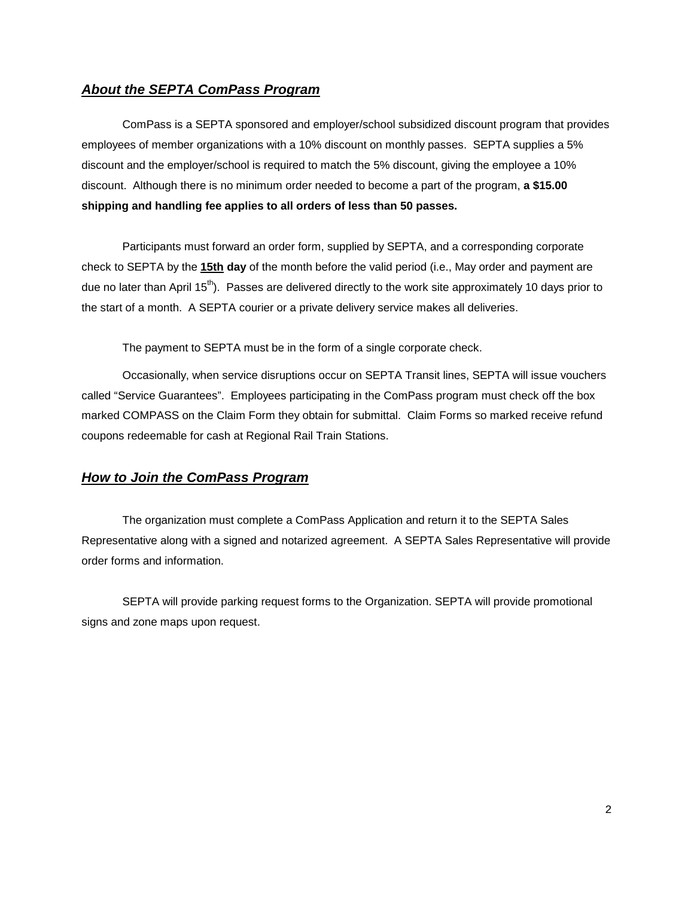### *About the SEPTA ComPass Program*

ComPass is a SEPTA sponsored and employer/school subsidized discount program that provides employees of member organizations with a 10% discount on monthly passes. SEPTA supplies a 5% discount and the employer/school is required to match the 5% discount, giving the employee a 10% discount. Although there is no minimum order needed to become a part of the program, **a \$15.00 shipping and handling fee applies to all orders of less than 50 passes.** 

Participants must forward an order form, supplied by SEPTA, and a corresponding corporate check to SEPTA by the **15th day** of the month before the valid period (i.e., May order and payment are due no later than April 15<sup>th</sup>). Passes are delivered directly to the work site approximately 10 days prior to the start of a month. A SEPTA courier or a private delivery service makes all deliveries.

The payment to SEPTA must be in the form of a single corporate check.

Occasionally, when service disruptions occur on SEPTA Transit lines, SEPTA will issue vouchers called "Service Guarantees". Employees participating in the ComPass program must check off the box marked COMPASS on the Claim Form they obtain for submittal. Claim Forms so marked receive refund coupons redeemable for cash at Regional Rail Train Stations.

#### *How to Join the ComPass Program*

The organization must complete a ComPass Application and return it to the SEPTA Sales Representative along with a signed and notarized agreement. A SEPTA Sales Representative will provide order forms and information.

SEPTA will provide parking request forms to the Organization. SEPTA will provide promotional signs and zone maps upon request.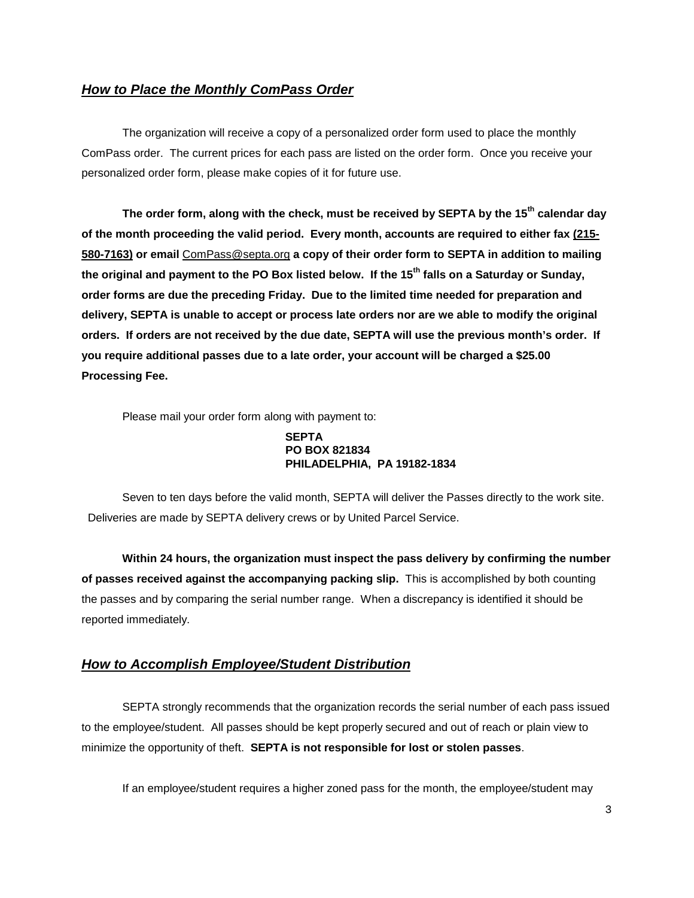### *How to Place the Monthly ComPass Order*

The organization will receive a copy of a personalized order form used to place the monthly ComPass order. The current prices for each pass are listed on the order form. Once you receive your personalized order form, please make copies of it for future use.

**The order form, along with the check, must be received by SEPTA by the 15th calendar day of the month proceeding the valid period. Every month, accounts are required to either fax (215- 580-7163) or email** ComPass@septa.org **a copy of their order form to SEPTA in addition to mailing the original and payment to the PO Box listed below. If the 15th falls on a Saturday or Sunday, order forms are due the preceding Friday. Due to the limited time needed for preparation and delivery, SEPTA is unable to accept or process late orders nor are we able to modify the original orders. If orders are not received by the due date, SEPTA will use the previous month's order. If you require additional passes due to a late order, your account will be charged a \$25.00 Processing Fee.**

Please mail your order form along with payment to:

#### **SEPTA PO BOX 821834 PHILADELPHIA, PA 19182-1834**

Seven to ten days before the valid month, SEPTA will deliver the Passes directly to the work site. Deliveries are made by SEPTA delivery crews or by United Parcel Service.

**Within 24 hours, the organization must inspect the pass delivery by confirming the number of passes received against the accompanying packing slip.** This is accomplished by both counting the passes and by comparing the serial number range. When a discrepancy is identified it should be reported immediately.

#### *How to Accomplish Employee/Student Distribution*

SEPTA strongly recommends that the organization records the serial number of each pass issued to the employee/student. All passes should be kept properly secured and out of reach or plain view to minimize the opportunity of theft. **SEPTA is not responsible for lost or stolen passes**.

If an employee/student requires a higher zoned pass for the month, the employee/student may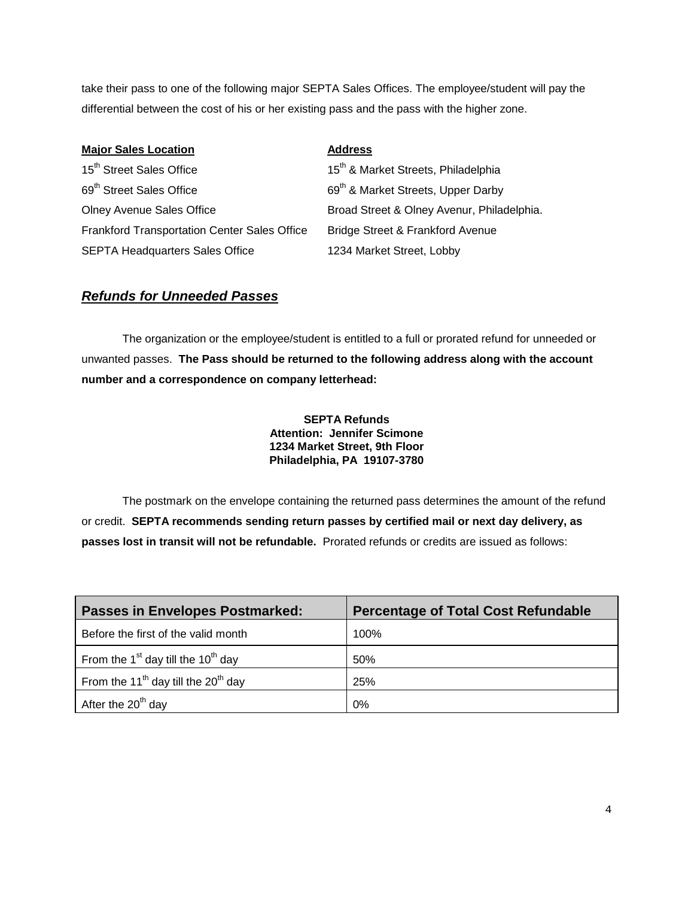take their pass to one of the following major SEPTA Sales Offices. The employee/student will pay the differential between the cost of his or her existing pass and the pass with the higher zone.

| <b>Major Sales Location</b>                         | <b>Address</b>                                  |
|-----------------------------------------------------|-------------------------------------------------|
| 15 <sup>th</sup> Street Sales Office                | 15 <sup>th</sup> & Market Streets, Philadelphia |
| 69 <sup>th</sup> Street Sales Office                | 69 <sup>th</sup> & Market Streets, Upper Darby  |
| <b>Olney Avenue Sales Office</b>                    | Broad Street & Olney Avenur, Philadelphia.      |
| <b>Frankford Transportation Center Sales Office</b> | Bridge Street & Frankford Avenue                |
| <b>SEPTA Headquarters Sales Office</b>              | 1234 Market Street, Lobby                       |

## *Refunds for Unneeded Passes*

The organization or the employee/student is entitled to a full or prorated refund for unneeded or unwanted passes. **The Pass should be returned to the following address along with the account number and a correspondence on company letterhead:**

> **SEPTA Refunds Attention: Jennifer Scimone 1234 Market Street, 9th Floor Philadelphia, PA 19107-3780**

The postmark on the envelope containing the returned pass determines the amount of the refund or credit. **SEPTA recommends sending return passes by certified mail or next day delivery, as passes lost in transit will not be refundable.** Prorated refunds or credits are issued as follows:

| <b>Passes in Envelopes Postmarked:</b>                      | <b>Percentage of Total Cost Refundable</b> |
|-------------------------------------------------------------|--------------------------------------------|
| Before the first of the valid month                         | 100%                                       |
| From the $1st$ day till the $10th$ day                      | 50%                                        |
| From the 11 <sup>th</sup> day till the 20 <sup>th</sup> day | 25%                                        |
| After the 20 <sup>th</sup> day                              | 0%                                         |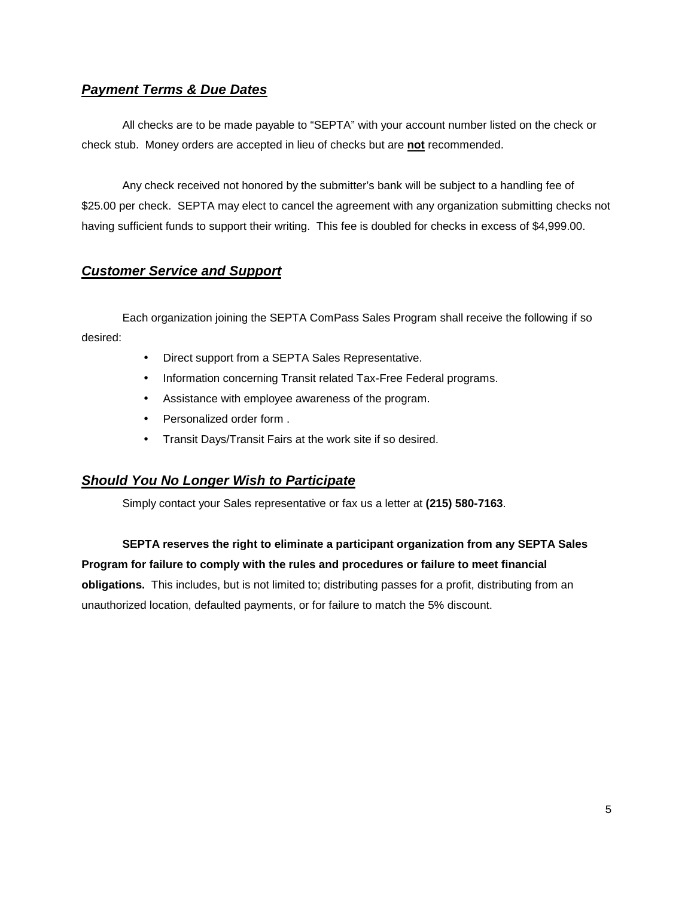# *Payment Terms & Due Dates*

All checks are to be made payable to "SEPTA" with your account number listed on the check or check stub. Money orders are accepted in lieu of checks but are **not** recommended.

Any check received not honored by the submitter's bank will be subject to a handling fee of \$25.00 per check. SEPTA may elect to cancel the agreement with any organization submitting checks not having sufficient funds to support their writing. This fee is doubled for checks in excess of \$4,999.00.

# *Customer Service and Support*

Each organization joining the SEPTA ComPass Sales Program shall receive the following if so desired:

- Direct support from a SEPTA Sales Representative.  $\sim 100$
- $\mathbf{r}^{\mathrm{max}}$ Information concerning Transit related Tax-Free Federal programs.
- $\mathbf{r}$ Assistance with employee awareness of the program.
- Personalized order form .
- Transit Days/Transit Fairs at the work site if so desired.  $\mathcal{L}^{\text{max}}$

### *Should You No Longer Wish to Participate*

Simply contact your Sales representative or fax us a letter at **(215) 580-7163**.

**SEPTA reserves the right to eliminate a participant organization from any SEPTA Sales Program for failure to comply with the rules and procedures or failure to meet financial obligations.** This includes, but is not limited to; distributing passes for a profit, distributing from an unauthorized location, defaulted payments, or for failure to match the 5% discount.